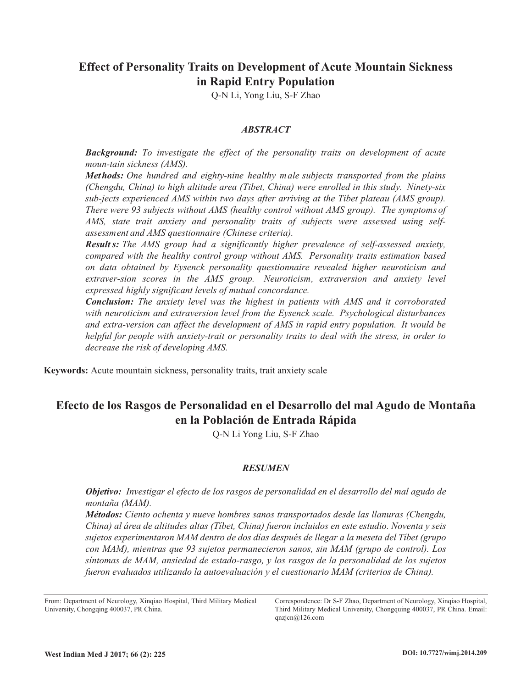# **Effect of Personality Traits on Development of Acute Mountain Sickness in Rapid Entry Population**

Q-N Li, Yong Liu, S-F Zhao

## *ABSTRACT*

*Background: To investigate the effect of the personality traits on development of acute moun-tain sickness (AMS).*

*Methods: One hundred and eighty-nine healthy male subjects transported from the plains (Chengdu, China) to high altitude area (Tibet, China) were enrolled in this study. Ninety-six sub-jects experienced AMS within two days after arriving at the Tibet plateau (AMS group). There were 93 subjects without AMS (healthy control without AMS group). The symptoms of AMS, state trait anxiety and personality traits of subjects were assessed using selfassessment and AMS questionnaire (Chinese criteria).*

*Results: The AMS group had a significantly higher prevalence of self-assessed anxiety, compared with the healthy control group without AMS. Personality traits estimation based on data obtained by Eysenck personality questionnaire revealed higher neuroticism and extraver-sion scores in the AMS group. Neuroticism, extraversion and anxiety level expressed highly significant levels of mutual concordance.*

*Conclusion: The anxiety level was the highest in patients with AMS and it corroborated with neuroticism and extraversion level from the Eysenck scale. Psychological disturbances and extra-version can affect the development of AMS in rapid entry population. It would be helpful for people with anxiety-trait or personality traits to deal with the stress, in order to decrease the risk of developing AMS.*

**Keywords:** Acute mountain sickness, personality traits, trait anxiety scale

# **Efecto de los Rasgos de Personalidad en el Desarrollo del mal Agudo de Montaña en la Población de Entrada Rápida**

Q-N Li Yong Liu, S-F Zhao

# *RESUMEN*

*Objetivo: Investigar el efecto de los rasgos de personalidad en el desarrollo del mal agudo de montaña (MAM).*

*Métodos: Ciento ochenta y nueve hombres sanos transportados desde las llanuras (Chengdu, China) al área de altitudes altas (Tíbet, China) fueron incluidos en este estudio. Noventa y seis sujetos experimentaron MAM dentro de dos días después de llegar a la meseta del Tíbet (grupo con MAM), mientras que 93 sujetos permanecieron sanos, sin MAM (grupo de control). Los síntomas de MAM, ansiedad de estado-rasgo, y los rasgos de la personalidad de los sujetos fueron evaluados utilizando la autoevaluación y el cuestionario MAM (criterios de China).*

From: Department of Neurology, Xinqiao Hospital, Third Military Medical University, Chongqing 400037, PR China.

Correspondence: Dr S-F Zhao, Department of Neurology, Xinqiao Hospital, Third Military Medical University, Chongquing 400037, PR China. Email: qnzjcn@126.com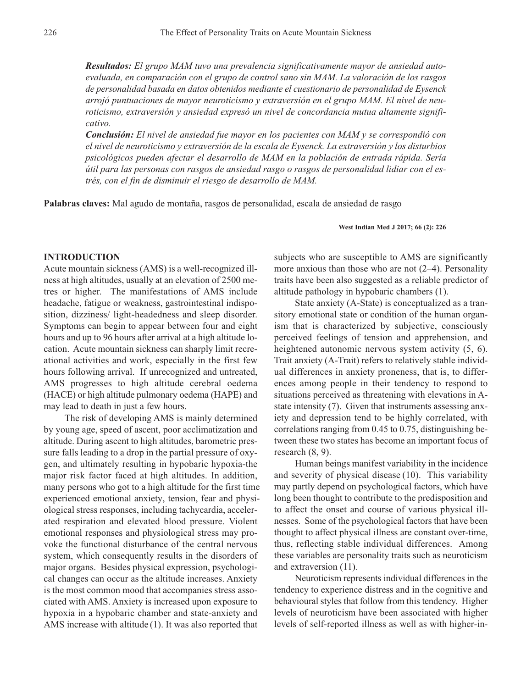*Resultados: El grupo MAM tuvo una prevalencia significativamente mayor de ansiedad autoevaluada, en comparación con el grupo de control sano sin MAM. La valoración de los rasgos de personalidad basada en datos obtenidos mediante el cuestionario de personalidad de Eysenck arrojó puntuaciones de mayor neuroticismo y extraversión en el grupo MAM. El nivel de neuroticismo, extraversión y ansiedad expresó un nivel de concordancia mutua altamente significativo.*

*Conclusión: El nivel de ansiedad fue mayor en los pacientes con MAM y se correspondió con el nivel de neuroticismo y extraversión de la escala de Eysenck. La extraversión y los disturbios psicológicos pueden afectar el desarrollo de MAM en la población de entrada rápida. Sería útil para las personas con rasgos de ansiedad rasgo o rasgos de personalidad lidiar con el estrés, con el fin de disminuir el riesgo de desarrollo de MAM.*

**Palabras claves:** Mal agudo de montaña, rasgos de personalidad, escala de ansiedad de rasgo

#### **West Indian Med J 2017; 66 (2): 226**

# **INTRODUCTION**

Acute mountain sickness (AMS) is a well-recognized illness at high altitudes, usually at an elevation of 2500 metres or higher. The manifestations of AMS include headache, fatigue or weakness, gastrointestinal indisposition, dizziness/ light-headedness and sleep disorder. Symptoms can begin to appear between four and eight hours and up to 96 hours after arrival at a high altitude location. Acute mountain sickness can sharply limit recreational activities and work, especially in the first few hours following arrival. If unrecognized and untreated, AMS progresses to high altitude cerebral oedema (HACE) or high altitude pulmonary oedema (HAPE) and may lead to death in just a few hours.

The risk of developing AMS is mainly determined by young age, speed of ascent, poor acclimatization and altitude. During ascent to high altitudes, barometric pressure falls leading to a drop in the partial pressure of oxygen, and ultimately resulting in hypobaric hypoxia-the major risk factor faced at high altitudes. In addition, many persons who got to a high altitude for the first time experienced emotional anxiety, tension, fear and physiological stress responses, including tachycardia, accelerated respiration and elevated blood pressure. Violent emotional responses and physiological stress may provoke the functional disturbance of the central nervous system, which consequently results in the disorders of major organs. Besides physical expression, psychological changes can occur as the altitude increases. Anxiety is the most common mood that accompanies stress associated with AMS. Anxiety is increased upon exposure to hypoxia in a hypobaric chamber and state-anxiety and AMS increase with altitude (1). It was also reported that

subjects who are susceptible to AMS are significantly more anxious than those who are not (2–4). Personality traits have been also suggested as a reliable predictor of altitude pathology in hypobaric chambers (1).

State anxiety (A-State) is conceptualized as a transitory emotional state or condition of the human organism that is characterized by subjective, consciously perceived feelings of tension and apprehension, and heightened autonomic nervous system activity (5, 6). Trait anxiety (A-Trait) refers to relatively stable individual differences in anxiety proneness, that is, to differences among people in their tendency to respond to situations perceived as threatening with elevations in Astate intensity (7). Given that instruments assessing anxiety and depression tend to be highly correlated, with correlations ranging from 0.45 to 0.75, distinguishing between these two states has become an important focus of research (8, 9).

Human beings manifest variability in the incidence and severity of physical disease (10). This variability may partly depend on psychological factors, which have long been thought to contribute to the predisposition and to affect the onset and course of various physical illnesses. Some of the psychological factors that have been thought to affect physical illness are constant over-time, thus, reflecting stable individual differences. Among these variables are personality traits such as neuroticism and extraversion (11).

Neuroticism represents individual differences in the tendency to experience distress and in the cognitive and behavioural styles that follow from this tendency. Higher levels of neuroticism have been associated with higher levels of self-reported illness as well as with higher-in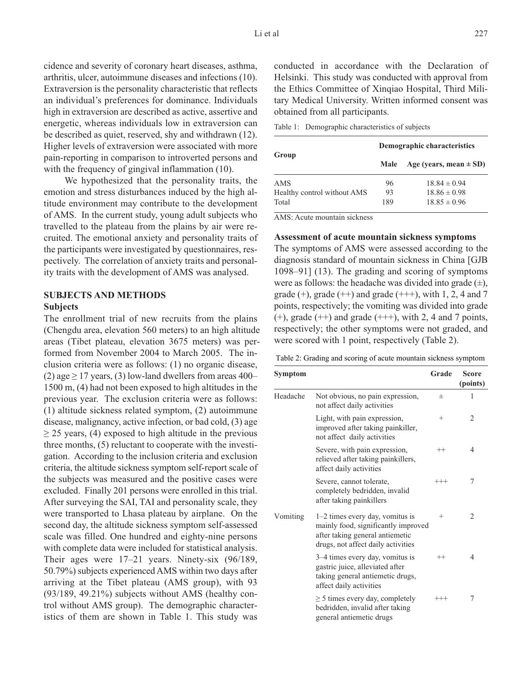cidence and severity of coronary heart diseases, asthma, arthritis, ulcer, autoimmune diseases and infections (10). Extraversion is the personality characteristic that reflects an individual's preferences for dominance. Individuals high in extraversion are described as active, assertive and energetic, whereas individuals low in extraversion can be described as quiet, reserved, shy and withdrawn (12). Higher levels of extraversion were associated with more pain-reporting in comparison to introverted persons and with the frequency of gingival inflammation (10).

We hypothesized that the personality traits, the emotion and stress disturbances induced by the high altitude environment may contribute to the development of AMS. In the current study, young adult subjects who travelled to the plateau from the plains by air were recruited. The emotional anxiety and personality traits of the participants were investigated by questionnaires, respectively. The correlation of anxiety traits and personality traits with the development of AMS was analysed.

# **SUBJECTS AND METHODS Subjects**

The enrollment trial of new recruits from the plains (Chengdu area, elevation 560 meters) to an high altitude areas (Tibet plateau, elevation 3675 meters) was performed from November 2004 to March 2005. The inclusion criteria were as follows: (1) no organic disease, (2) age  $\geq$  17 years, (3) low-land dwellers from areas 400– 1500 m, (4) had not been exposed to high altitudes in the previous year. The exclusion criteria were as follows: (1) altitude sickness related symptom, (2) autoimmune disease, malignancy, active infection, or bad cold, (3) age  $\geq$  25 years, (4) exposed to high altitude in the previous three months, (5) reluctant to cooperate with the investigation. According to the inclusion criteria and exclusion criteria, the altitude sickness symptom self-report scale of the subjects was measured and the positive cases were excluded. Finally 201 persons were enrolled in this trial. After surveying the SAI, TAI and personality scale, they were transported to Lhasa plateau by airplane. On the second day, the altitude sickness symptom self-assessed scale was filled. One hundred and eighty-nine persons with complete data were included for statistical analysis. Their ages were 17–21 years. Ninety-six (96/189, 50.79%) subjects experienced AMS within two days after arriving at the Tibet plateau (AMS group), with 93 (93/189, 49.21%) subjects without AMS (healthy control without AMS group). The demographic characteristics of them are shown in Table 1. This study was

conducted in accordance with the Declaration of Helsinki. This study was conducted with approval from the Ethics Committee of Xinqiao Hospital, Third Military Medical University. Written informed consent was obtained from all participants.

Table 1: Demographic characteristics of subjects

|                             | Demographic characteristics |                            |  |  |
|-----------------------------|-----------------------------|----------------------------|--|--|
| Group                       | Male                        | Age (years, mean $\pm$ SD) |  |  |
| AMS                         | 96                          | $18.84 \pm 0.94$           |  |  |
| Healthy control without AMS | 93                          | $18.86 \pm 0.98$           |  |  |
| Total                       | 189                         | $18.85 \pm 0.96$           |  |  |

AMS: Acute mountain sickness

#### **Assessment of acute mountain sickness symptoms**

The symptoms of AMS were assessed according to the diagnosis standard of mountain sickness in China [GJB 1098–91] (13). The grading and scoring of symptoms were as follows: the headache was divided into grade  $(\pm)$ , grade  $(+)$ , grade  $(++)$  and grade  $(++)$ , with 1, 2, 4 and 7 points, respectively; the vomiting was divided into grade  $(+)$ , grade  $(++)$  and grade  $(++)$ , with 2, 4 and 7 points, respectively; the other symptoms were not graded, and were scored with 1 point, respectively (Table 2).

| Table 2: Grading and scoring of acute mountain sickness symptom |  |  |  |  |  |  |
|-----------------------------------------------------------------|--|--|--|--|--|--|
|-----------------------------------------------------------------|--|--|--|--|--|--|

| Symptom  |                                                                                                                                                   | Grade    | <b>Score</b><br>(points) |
|----------|---------------------------------------------------------------------------------------------------------------------------------------------------|----------|--------------------------|
| Headache | Not obvious, no pain expression,<br>not affect daily activities                                                                                   | 士        | 1                        |
|          | Light, with pain expression,<br>improved after taking painkiller,<br>not affect daily activities                                                  | $^{+}$   | 2                        |
|          | Severe, with pain expression,<br>relieved after taking painkillers,<br>affect daily activities                                                    | $^{++}$  | 4                        |
|          | Severe, cannot tolerate,<br>completely bedridden, invalid<br>after taking painkillers                                                             | $^{+++}$ | 7                        |
| Vomiting | $1-2$ times every day, vomitus is<br>mainly food, significantly improved<br>after taking general antiemetic<br>drugs, not affect daily activities | $^{+}$   | $\overline{2}$           |
|          | 3–4 times every day, vomitus is<br>gastric juice, alleviated after<br>taking general antiemetic drugs,<br>affect daily activities                 | $^{++}$  | 4                        |
|          | $\geq$ 5 times every day, completely<br>bedridden, invalid after taking<br>general antiemetic drugs                                               | $^{+++}$ | 7                        |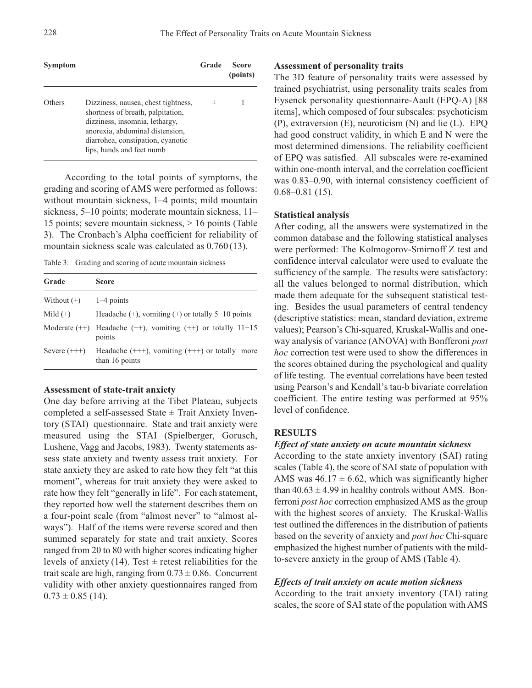| Symptom |                                                                                                                                                                                                                 | Grade | <b>Score</b><br>(points) |
|---------|-----------------------------------------------------------------------------------------------------------------------------------------------------------------------------------------------------------------|-------|--------------------------|
| Others  | Dizziness, nausea, chest tightness,<br>shortness of breath, palpitation,<br>dizziness, insomnia, lethargy,<br>anorexia, abdominal distension,<br>diarrohea, constipation, cyanotic<br>lips, hands and feet numb | 士     |                          |

According to the total points of symptoms, the grading and scoring of AMS were performed as follows: without mountain sickness, 1–4 points; mild mountain sickness, 5–10 points; moderate mountain sickness, 11– 15 points; severe mountain sickness, > 16 points (Table 3). The Cronbach's Alpha coefficient for reliability of mountain sickness scale was calculated as 0.760 (13).

Table 3: Grading and scoring of acute mountain sickness

| Grade                      | <b>Score</b>                                                                   |
|----------------------------|--------------------------------------------------------------------------------|
| Without $(\pm)$ 1-4 points |                                                                                |
| Mild $(+)$                 | Headache $(+)$ , vomiting $(+)$ or totally 5-10 points                         |
|                            | Moderate $(++)$ Headache $(++)$ , vomiting $(++)$ or totally $11-15$<br>points |
| Severe $(++)$              | Headache $(++)$ , vomiting $(++)$ or totally more<br>than 16 points            |

#### **Assessment of state-trait anxiety**

One day before arriving at the Tibet Plateau, subjects completed a self-assessed State  $\pm$  Trait Anxiety Inventory (STAI) questionnaire. State and trait anxiety were measured using the STAI (Spielberger, Gorusch, Lushene, Vagg and Jacobs, 1983). Twenty statements assess state anxiety and twenty assess trait anxiety. For state anxiety they are asked to rate how they felt "at this moment", whereas for trait anxiety they were asked to rate how they felt "generally in life". For each statement, they reported how well the statement describes them on a four-point scale (from "almost never" to "almost always"). Half of the items were reverse scored and then summed separately for state and trait anxiety. Scores ranged from 20 to 80 with higher scores indicating higher levels of anxiety (14). Test  $\pm$  retest reliabilities for the trait scale are high, ranging from  $0.73 \pm 0.86$ . Concurrent validity with other anxiety questionnaires ranged from  $0.73 \pm 0.85$  (14).

## **Assessment of personality traits**

The 3D feature of personality traits were assessed by trained psychiatrist, using personality traits scales from Eysenck personality questionnaire-Aault (EPQ-A) [88 items], which composed of four subscales: psychoticism (P), extraversion (E), neuroticism (N) and lie (L). EPQ had good construct validity, in which E and N were the most determined dimensions. The reliability coefficient of EPQ was satisfied. All subscales were re-examined within one-month interval, and the correlation coefficient was 0.83–0.90, with internal consistency coefficient of 0.68–0.81 (15).

#### **Statistical analysis**

After coding, all the answers were systematized in the common database and the following statistical analyses were performed: The Kolmogorov-Smirnoff Z test and confidence interval calculator were used to evaluate the sufficiency of the sample. The results were satisfactory: all the values belonged to normal distribution, which made them adequate for the subsequent statistical testing. Besides the usual parameters of central tendency (descriptive statistics: mean, standard deviation, extreme values); Pearson's Chi-squared, Kruskal-Wallis and oneway analysis of variance (ANOVA) with Bonfferoni *post hoc* correction test were used to show the differences in the scores obtained during the psychological and quality of life testing. The eventual correlations have been tested using Pearson's and Kendall's tau-b bivariate correlation coefficient. The entire testing was performed at 95% level of confidence.

#### **RESULTS**

#### *Effect of state anxiety on acute mountain sickness*

According to the state anxiety inventory (SAI) rating scales (Table 4), the score of SAI state of population with AMS was  $46.17 \pm 6.62$ , which was significantly higher than  $40.63 \pm 4.99$  in healthy controls without AMS. Bonferroni *post hoc* correction emphasized AMS as the group with the highest scores of anxiety. The Kruskal-Wallis test outlined the differences in the distribution of patients based on the severity of anxiety and *post hoc* Chi-square emphasized the highest number of patients with the mildto-severe anxiety in the group of AMS (Table 4).

### *Effects of trait anxiety on acute motion sickness*

According to the trait anxiety inventory (TAI) rating scales, the score of SAI state of the population with AMS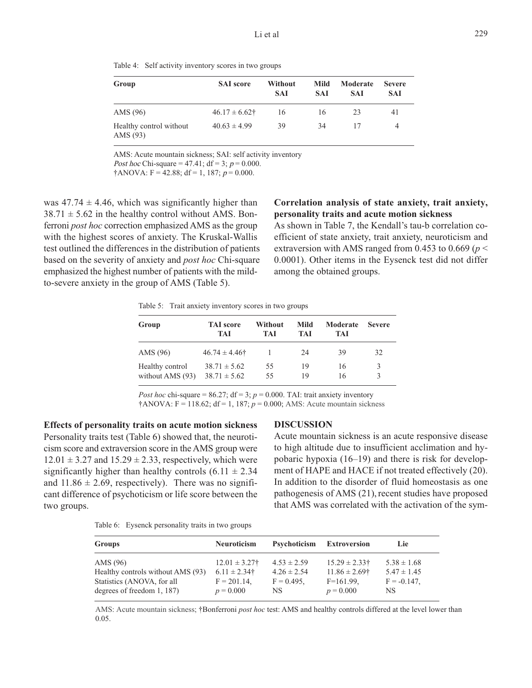229

Table 4: Self activity inventory scores in two groups

| Group                               | <b>SAI</b> score | Without<br><b>SAI</b> | Mild<br>SAI | Moderate<br><b>SAI</b> | <b>Severe</b><br>SAI |  |
|-------------------------------------|------------------|-----------------------|-------------|------------------------|----------------------|--|
| AMS (96)                            | $46.17 \pm 6.62$ | 16                    | 16          | 23                     | 41                   |  |
| Healthy control without<br>AMS (93) | $40.63 \pm 4.99$ | 39                    | 34          | 17                     | 4                    |  |

AMS: Acute mountain sickness; SAI: self activity inventory Post hoc Chi-square = 47.41; df = 3;  $p = 0.000$ .

 $\dagger$ ANOVA: F = 42.88; df = 1, 187; p = 0.000.

was  $47.74 \pm 4.46$ , which was significantly higher than  $38.71 \pm 5.62$  in the healthy control without AMS. Bonferroni *post hoc* correction emphasized AMS as the group with the highest scores of anxiety. The Kruskal-Wallis test outlined the differences in the distribution of patients based on the severity of anxiety and *post hoc* Chi-square emphasized the highest number of patients with the mildto-severe anxiety in the group of AMS (Table 5).

# **Correlation analysis of state anxiety, trait anxiety, personality traits and acute motion sickness**

As shown in Table 7, the Kendall's tau-b correlation coefficient of state anxiety, trait anxiety, neuroticism and extraversion with AMS ranged from 0.453 to 0.669 ( $p$  < 0.0001). Other items in the Eysenck test did not differ among the obtained groups.

Table 5: Trait anxiety inventory scores in two groups

| Group                                 | <b>TAI</b> score<br><b>TAI</b>       | Without<br>TAI | Mild<br>TAI | Moderate<br>TAI | <b>Severe</b> |
|---------------------------------------|--------------------------------------|----------------|-------------|-----------------|---------------|
| AMS (96)                              | $46.74 \pm 4.46\dagger$              |                | 24          | 39              | 32            |
| Healthy control<br>without AMS $(93)$ | $38.71 \pm 5.62$<br>$38.71 \pm 5.62$ | 55<br>55       | 19<br>19    | 16<br>16        | 3             |

*Post hoc* chi-square = 86.27;  $df = 3$ ;  $p = 0.000$ . TAI: trait anxiety inventory  $\dagger$ ANOVA: F = 118.62; df = 1, 187;  $p = 0.000$ ; AMS: Acute mountain sickness

**Effects of personality traits on acute motion sickness** Personality traits test (Table 6) showed that, the neuroticism score and extraversion score in the AMS group were  $12.01 \pm 3.27$  and  $15.29 \pm 2.33$ , respectively, which were significantly higher than healthy controls  $(6.11 \pm 2.34)$ and  $11.86 \pm 2.69$ , respectively). There was no significant difference of psychoticism or life score between the two groups.

#### **DISCUSSION**

Acute mountain sickness is an acute responsive disease to high altitude due to insufficient acclimation and hypobaric hypoxia (16–19) and there is risk for development of HAPE and HACE if not treated effectively (20). In addition to the disorder of fluid homeostasis as one pathogenesis of AMS (21), recent studies have proposed that AMS was correlated with the activation of the sym-

Table 6: Eysenck personality traits in two groups

| <b>Groups</b>                     | <b>Neuroticism</b> | Psychoticism    | <b>Extroversion</b> | Lie             |
|-----------------------------------|--------------------|-----------------|---------------------|-----------------|
| AMS $(96)$                        | $12.01 \pm 3.27$ † | $4.53 \pm 2.59$ | $15.29 \pm 2.33$ †  | $5.38 \pm 1.68$ |
| Healthy controls without AMS (93) | $6.11 \pm 2.34$ †  | $4.26 \pm 2.54$ | $11.86 \pm 2.69$ †  | $5.47 \pm 1.45$ |
| Statistics (ANOVA, for all        | $F = 201.14$ ,     | $F = 0.495$ ,   | $F=161.99$ ,        | $F = -0.147$ .  |
| degrees of freedom 1, 187)        | $p = 0.000$        | NS.             | $p = 0.000$         | NS.             |

AMS: Acute mountain sickness; †Bonferroni *post hoc* test: AMS and healthy controls differed at the level lower than 0.05.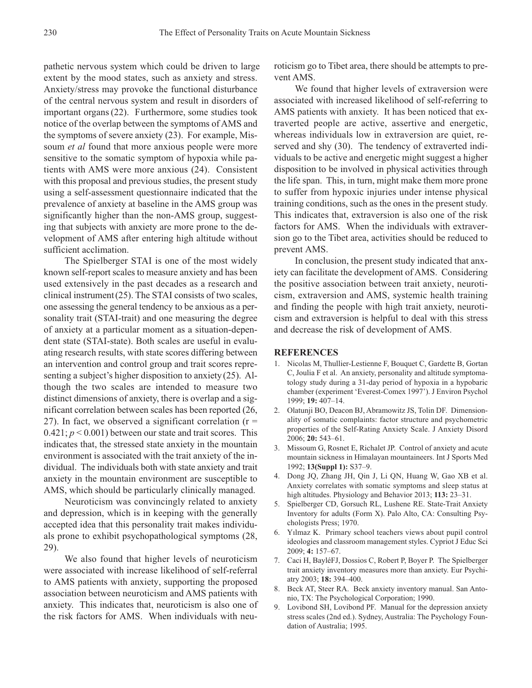pathetic nervous system which could be driven to large extent by the mood states, such as anxiety and stress. Anxiety/stress may provoke the functional disturbance of the central nervous system and result in disorders of important organs(22). Furthermore, some studies took notice of the overlap between the symptoms of AMS and the symptoms of severe anxiety (23). For example, Missoum *et al* found that more anxious people were more sensitive to the somatic symptom of hypoxia while patients with AMS were more anxious (24). Consistent with this proposal and previous studies, the present study using a self-assessment questionnaire indicated that the prevalence of anxiety at baseline in the AMS group was significantly higher than the non-AMS group, suggesting that subjects with anxiety are more prone to the development of AMS after entering high altitude without sufficient acclimation.

The Spielberger STAI is one of the most widely known self-report scales to measure anxiety and has been used extensively in the past decades as a research and clinical instrument(25). The STAI consists of two scales, one assessing the general tendency to be anxious as a personality trait (STAI-trait) and one measuring the degree of anxiety at a particular moment as a situation-dependent state (STAI-state). Both scales are useful in evaluating research results, with state scores differing between an intervention and control group and trait scores representing a subject's higher disposition to anxiety(25). Although the two scales are intended to measure two distinct dimensions of anxiety, there is overlap and a significant correlation between scales has been reported (26, 27). In fact, we observed a significant correlation  $(r =$  $0.421$ ;  $p < 0.001$ ) between our state and trait scores. This indicates that, the stressed state anxiety in the mountain environment is associated with the trait anxiety of the individual. The individuals both with state anxiety and trait anxiety in the mountain environment are susceptible to AMS, which should be particularly clinically managed.

Neuroticism was convincingly related to anxiety and depression, which is in keeping with the generally accepted idea that this personality trait makes individuals prone to exhibit psychopathological symptoms (28, 29).

We also found that higher levels of neuroticism were associated with increase likelihood of self-referral to AMS patients with anxiety, supporting the proposed association between neuroticism and AMS patients with anxiety. This indicates that, neuroticism is also one of the risk factors for AMS. When individuals with neuroticism go to Tibet area, there should be attempts to prevent AMS.

We found that higher levels of extraversion were associated with increased likelihood of self-referring to AMS patients with anxiety. It has been noticed that extraverted people are active, assertive and energetic, whereas individuals low in extraversion are quiet, reserved and shy (30). The tendency of extraverted individuals to be active and energetic might suggest a higher disposition to be involved in physical activities through the life span. This, in turn, might make them more prone to suffer from hypoxic injuries under intense physical training conditions, such as the ones in the present study. This indicates that, extraversion is also one of the risk factors for AMS. When the individuals with extraversion go to the Tibet area, activities should be reduced to prevent AMS.

In conclusion, the present study indicated that anxiety can facilitate the development of AMS. Considering the positive association between trait anxiety, neuroticism, extraversion and AMS, systemic health training and finding the people with high trait anxiety, neuroticism and extraversion is helpful to deal with this stress and decrease the risk of development of AMS.

### **REFERENCES**

- 1. Nicolas M, Thullier-Lestienne F, Bouquet C, Gardette B, Gortan C, Joulia F et al. An anxiety, personality and altitude symptomatology study during a 31-day period of hypoxia in a hypobaric chamber (experiment 'Everest-Comex 1997'). J Environ Psychol 1999; **19:** 407–14.
- 2. Olatunji BO, Deacon BJ, Abramowitz JS, Tolin DF. Dimensionality of somatic complaints: factor structure and psychometric properties of the Self-Rating Anxiety Scale. J Anxiety Disord 2006; **20:** 543–61.
- 3. Missoum G, Rosnet E, Richalet JP. Control of anxiety and acute mountain sickness in Himalayan mountaineers. Int J Sports Med 1992; **13(Suppl 1):** S37–9.
- 4. Dong JQ, Zhang JH, Qin J, Li QN, Huang W, Gao XB et al. Anxiety correlates with somatic symptoms and sleep status at high altitudes. Physiology and Behavior 2013; **113:** 23–31.
- 5. Spielberger CD, Gorsuch RL, Lushene RE. State-Trait Anxiety Inventory for adults (Form X). Palo Alto, CA: Consulting Psychologists Press; 1970.
- 6. Yılmaz K. Primary school teachers views about pupil control ideologies and classroom management styles. Cypriot J Educ Sci 2009; **4:** 157–67.
- 7. Caci H, BayléFJ, Dossios C, Robert P, Boyer P. The Spielberger trait anxiety inventory measures more than anxiety. Eur Psychiatry 2003; **18:** 394–400.
- 8. Beck AT, Steer RA. Beck anxiety inventory manual. San Antonio, TX: The Psychological Corporation; 1990.
- 9. Lovibond SH, Lovibond PF. Manual for the depression anxiety stress scales (2nd ed.). Sydney, Australia: The Psychology Foundation of Australia; 1995.